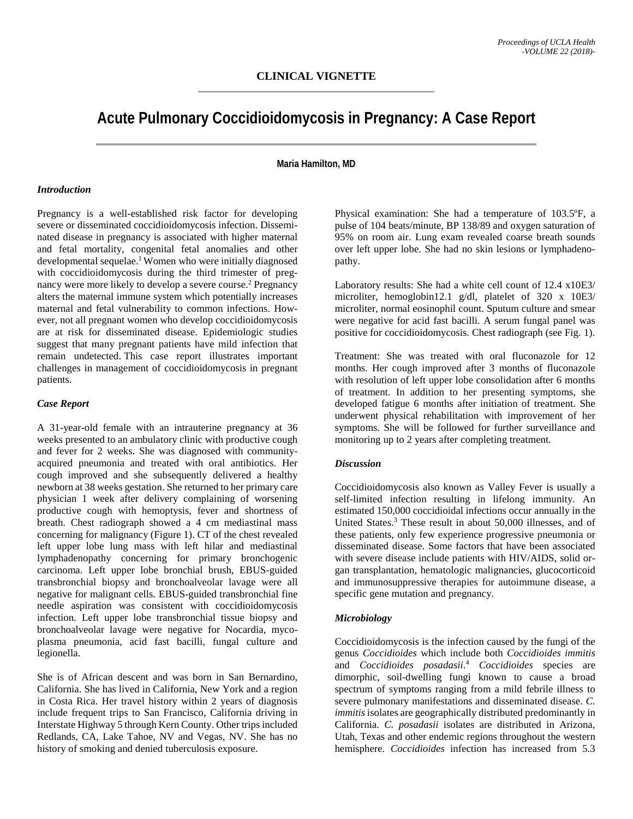# **Acute Pulmonary Coccidioidomycosis in Pregnancy: A Case Report**

#### **Maria Hamilton, MD**

#### *Introduction*

Pregnancy is a well-established risk factor for developing severe or disseminated coccidioidomycosis infection. Disseminated disease in pregnancy is associated with higher maternal and fetal mortality, congenital fetal anomalies and other developmental sequelae.<sup>1</sup> Women who were initially diagnosed with coccidioidomycosis during the third trimester of pregnancy were more likely to develop a severe course. <sup>2</sup> Pregnancy alters the maternal immune system which potentially increases maternal and fetal vulnerability to common infections. However, not all pregnant women who develop coccidioidomycosis are at risk for disseminated disease. Epidemiologic studies suggest that many pregnant patients have mild infection that remain undetected. This case report illustrates important challenges in management of coccidioidomycosis in pregnant patients.

#### *Case Report*

A 31-year-old female with an intrauterine pregnancy at 36 weeks presented to an ambulatory clinic with productive cough and fever for 2 weeks. She was diagnosed with communityacquired pneumonia and treated with oral antibiotics. Her cough improved and she subsequently delivered a healthy newborn at 38 weeks gestation. She returned to her primary care physician 1 week after delivery complaining of worsening productive cough with hemoptysis, fever and shortness of breath. Chest radiograph showed a 4 cm mediastinal mass concerning for malignancy (Figure 1). CT of the chest revealed left upper lobe lung mass with left hilar and mediastinal lymphadenopathy concerning for primary bronchogenic carcinoma. Left upper lobe bronchial brush, EBUS-guided transbronchial biopsy and bronchoalveolar lavage were all negative for malignant cells. EBUS-guided transbronchial fine needle aspiration was consistent with coccidioidomycosis infection. Left upper lobe transbronchial tissue biopsy and bronchoalveolar lavage were negative for Nocardia, mycoplasma pneumonia, acid fast bacilli, fungal culture and legionella.

She is of African descent and was born in San Bernardino, California. She has lived in California, New York and a region in Costa Rica. Her travel history within 2 years of diagnosis include frequent trips to San Francisco, California driving in Interstate Highway 5 through Kern County. Other trips included Redlands, CA, Lake Tahoe, NV and Vegas, NV. She has no history of smoking and denied tuberculosis exposure.

Physical examination: She had a temperature of 103.5ºF, a pulse of 104 beats/minute, BP 138/89 and oxygen saturation of 95% on room air. Lung exam revealed coarse breath sounds over left upper lobe. She had no skin lesions or lymphadenopathy.

Laboratory results: She had a white cell count of 12.4 x10E3/ microliter, hemoglobin12.1 g/dl, platelet of 320 x 10E3/ microliter, normal eosinophil count. Sputum culture and smear were negative for acid fast bacilli. A serum fungal panel was positive for coccidioidomycosis. Chest radiograph (see Fig. 1).

Treatment: She was treated with oral fluconazole for 12 months. Her cough improved after 3 months of fluconazole with resolution of left upper lobe consolidation after 6 months of treatment. In addition to her presenting symptoms, she developed fatigue 6 months after initiation of treatment. She underwent physical rehabilitation with improvement of her symptoms. She will be followed for further surveillance and monitoring up to 2 years after completing treatment.

#### *Discussion*

Coccidioidomycosis also known as Valley Fever is usually a self-limited infection resulting in lifelong immunity. An estimated 150,000 coccidioidal infections occur annually in the United States. <sup>3</sup> These result in about 50,000 illnesses, and of these patients, only few experience progressive pneumonia or disseminated disease. Some factors that have been associated with severe disease include patients with HIV/AIDS, solid organ transplantation, hematologic malignancies, glucocorticoid and immunosuppressive therapies for autoimmune disease, a specific gene mutation and pregnancy.

#### *Microbiology*

Coccidioidomycosis is the infection caused by the fungi of the genus *Coccidioides* which include both *Coccidioides immitis*  and *Coccidioides posadasii*. <sup>4</sup> *Coccidioides* species are dimorphic, soil-dwelling fungi known to cause a broad spectrum of symptoms ranging from a mild febrile illness to severe pulmonary manifestations and disseminated disease. *C. immitis* isolates are geographically distributed predominantly in California. *C. posadasii* isolates are distributed in Arizona, Utah, Texas and other endemic regions throughout the western hemisphere. *Coccidioides* infection has increased from 5.3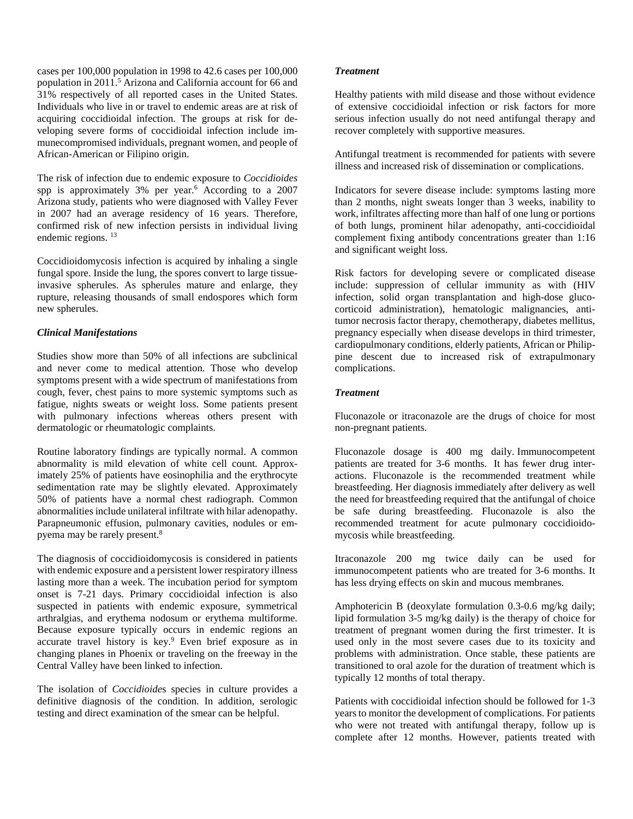cases per 100,000 population in 1998 to 42.6 cases per 100,000 population in 2011. <sup>5</sup> Arizona and California account for 66 and 31% respectively of all reported cases in the United States. Individuals who live in or travel to endemic areas are at risk of acquiring coccidioidal infection. The groups at risk for developing severe forms of coccidioidal infection include immunecompromised individuals, pregnant women, and people of African-American or Filipino origin.

The risk of infection due to endemic exposure to *Coccidioides*  spp is approximately 3% per year. <sup>6</sup> According to a 2007 Arizona study, patients who were diagnosed with Valley Fever in 2007 had an average residency of 16 years. Therefore, confirmed risk of new infection persists in individual living endemic regions. 13

Coccidioidomycosis infection is acquired by inhaling a single fungal spore. Inside the lung, the spores convert to large tissueinvasive spherules. As spherules mature and enlarge, they rupture, releasing thousands of small endospores which form new spherules.

## *Clinical Manifestations*

Studies show more than 50% of all infections are subclinical and never come to medical attention. Those who develop symptoms present with a wide spectrum of manifestations from cough, fever, chest pains to more systemic symptoms such as fatigue, nights sweats or weight loss. Some patients present with pulmonary infections whereas others present with dermatologic or rheumatologic complaints.

Routine laboratory findings are typically normal. A common abnormality is mild elevation of white cell count. Approximately 25% of patients have eosinophilia and the erythrocyte sedimentation rate may be slightly elevated. Approximately 50% of patients have a normal chest radiograph. Common abnormalities include unilateral infiltrate with hilar adenopathy. Parapneumonic effusion, pulmonary cavities, nodules or empyema may be rarely present. 8

The diagnosis of coccidioidomycosis is considered in patients with endemic exposure and a persistent lower respiratory illness lasting more than a week. The incubation period for symptom onset is 7-21 days. Primary coccidioidal infection is also suspected in patients with endemic exposure, symmetrical arthralgias, and erythema nodosum or erythema multiforme. Because exposure typically occurs in endemic regions an accurate travel history is key. <sup>9</sup> Even brief exposure as in changing planes in Phoenix or traveling on the freeway in the Central Valley have been linked to infection.

The isolation of *Coccidioide*s species in culture provides a definitive diagnosis of the condition. In addition, serologic testing and direct examination of the smear can be helpful.

## *Treatment*

Healthy patients with mild disease and those without evidence of extensive coccidioidal infection or risk factors for more serious infection usually do not need antifungal therapy and recover completely with supportive measures.

Antifungal treatment is recommended for patients with severe illness and increased risk of dissemination or complications.

Indicators for severe disease include: symptoms lasting more than 2 months, night sweats longer than 3 weeks, inability to work, infiltrates affecting more than half of one lung or portions of both lungs, prominent hilar adenopathy, anti-coccidioidal complement fixing antibody concentrations greater than 1:16 and significant weight loss.

Risk factors for developing severe or complicated disease include: suppression of cellular immunity as with (HIV infection, solid organ transplantation and high-dose glucocorticoid administration), hematologic malignancies, antitumor necrosis factor therapy, chemotherapy, diabetes mellitus, pregnancy especially when disease develops in third trimester, cardiopulmonary conditions, elderly patients, African or Philippine descent due to increased risk of extrapulmonary complications.

## *Treatment*

Fluconazole or itraconazole are the drugs of choice for most non-pregnant patients.

Fluconazole dosage is 400 mg daily. Immunocompetent patients are treated for 3-6 months. It has fewer drug interactions. Fluconazole is the recommended treatment while breastfeeding. Her diagnosis immediately after delivery as well the need for breastfeeding required that the antifungal of choice be safe during breastfeeding. Fluconazole is also the recommended treatment for acute pulmonary coccidioidomycosis while breastfeeding.

Itraconazole 200 mg twice daily can be used for immunocompetent patients who are treated for 3-6 months. It has less drying effects on skin and mucous membranes.

Amphotericin B (deoxylate formulation 0.3-0.6 mg/kg daily; lipid formulation 3-5 mg/kg daily) is the therapy of choice for treatment of pregnant women during the first trimester. It is used only in the most severe cases due to its toxicity and problems with administration. Once stable, these patients are transitioned to oral azole for the duration of treatment which is typically 12 months of total therapy.

Patients with coccidioidal infection should be followed for 1-3 years to monitor the development of complications. For patients who were not treated with antifungal therapy, follow up is complete after 12 months. However, patients treated with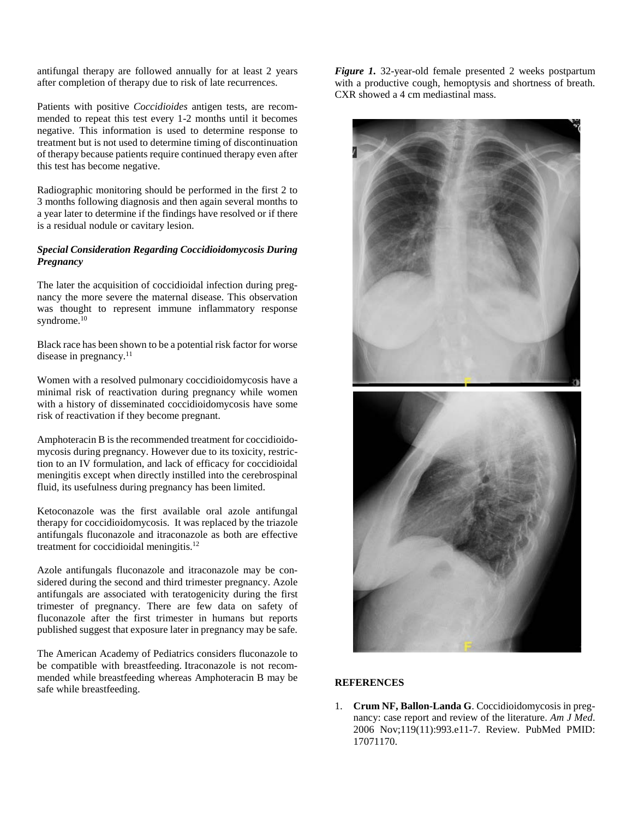antifungal therapy are followed annually for at least 2 years after completion of therapy due to risk of late recurrences.

Patients with positive *Coccidioides* antigen tests, are recommended to repeat this test every 1-2 months until it becomes negative. This information is used to determine response to treatment but is not used to determine timing of discontinuation of therapy because patients require continued therapy even after this test has become negative.

Radiographic monitoring should be performed in the first 2 to 3 months following diagnosis and then again several months to a year later to determine if the findings have resolved or if there is a residual nodule or cavitary lesion.

## *Special Consideration Regarding Coccidioidomycosis During Pregnancy*

The later the acquisition of coccidioidal infection during pregnancy the more severe the maternal disease. This observation was thought to represent immune inflammatory response syndrome. 10

Black race has been shown to be a potential risk factor for worse disease in pregnancy.<sup>11</sup>

Women with a resolved pulmonary coccidioidomycosis have a minimal risk of reactivation during pregnancy while women with a history of disseminated coccidioidomycosis have some risk of reactivation if they become pregnant.

Amphoteracin B is the recommended treatment for coccidioidomycosis during pregnancy. However due to its toxicity, restriction to an IV formulation, and lack of efficacy for coccidioidal meningitis except when directly instilled into the cerebrospinal fluid, its usefulness during pregnancy has been limited.

Ketoconazole was the first available oral azole antifungal therapy for coccidioidomycosis. It was replaced by the triazole antifungals fluconazole and itraconazole as both are effective treatment for coccidioidal meningitis. $12$ 

Azole antifungals fluconazole and itraconazole may be considered during the second and third trimester pregnancy. Azole antifungals are associated with teratogenicity during the first trimester of pregnancy. There are few data on safety of fluconazole after the first trimester in humans but reports published suggest that exposure later in pregnancy may be safe.

The American Academy of Pediatrics considers fluconazole to be compatible with breastfeeding. Itraconazole is not recommended while breastfeeding whereas Amphoteracin B may be safe while breastfeeding.

*Figure 1.* 32-year-old female presented 2 weeks postpartum with a productive cough, hemoptysis and shortness of breath. CXR showed a 4 cm mediastinal mass.



# **REFERENCES**

1. **Crum NF, Ballon-Landa G**. Coccidioidomycosis in pregnancy: case report and review of the literature. *Am J Med*. 2006 Nov;119(11):993.e11-7. Review. PubMed PMID: 17071170.